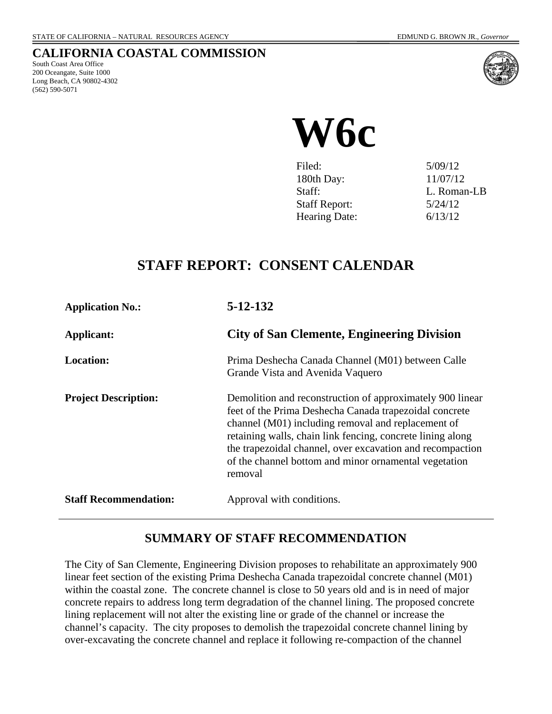# **CALIFORNIA COASTAL COMMISSION**

South Coast Area Office 200 Oceangate, Suite 1000 Long Beach, CA 90802-4302 (562) 590-5071



# **W6c**

| Filed:               | 5/09/12     |
|----------------------|-------------|
| 180th Day:           | 11/07/12    |
| Staff:               | L. Roman-LB |
| <b>Staff Report:</b> | 5/24/12     |
| <b>Hearing Date:</b> | 6/13/12     |
|                      |             |

# **STAFF REPORT: CONSENT CALENDAR**

| <b>Application No.:</b>      | $5 - 12 - 132$                                                                                                                                                                                                                                                                                                                                                           |
|------------------------------|--------------------------------------------------------------------------------------------------------------------------------------------------------------------------------------------------------------------------------------------------------------------------------------------------------------------------------------------------------------------------|
| Applicant:                   | <b>City of San Clemente, Engineering Division</b>                                                                                                                                                                                                                                                                                                                        |
| Location:                    | Prima Deshecha Canada Channel (M01) between Calle<br>Grande Vista and Avenida Vaquero                                                                                                                                                                                                                                                                                    |
| <b>Project Description:</b>  | Demolition and reconstruction of approximately 900 linear<br>feet of the Prima Deshecha Canada trapezoidal concrete<br>channel (M01) including removal and replacement of<br>retaining walls, chain link fencing, concrete lining along<br>the trapezoidal channel, over excavation and recompaction<br>of the channel bottom and minor ornamental vegetation<br>removal |
| <b>Staff Recommendation:</b> | Approval with conditions.                                                                                                                                                                                                                                                                                                                                                |

# **SUMMARY OF STAFF RECOMMENDATION**

The City of San Clemente, Engineering Division proposes to rehabilitate an approximately 900 linear feet section of the existing Prima Deshecha Canada trapezoidal concrete channel (M01) within the coastal zone. The concrete channel is close to 50 years old and is in need of major concrete repairs to address long term degradation of the channel lining. The proposed concrete lining replacement will not alter the existing line or grade of the channel or increase the channel's capacity. The city proposes to demolish the trapezoidal concrete channel lining by over-excavating the concrete channel and replace it following re-compaction of the channel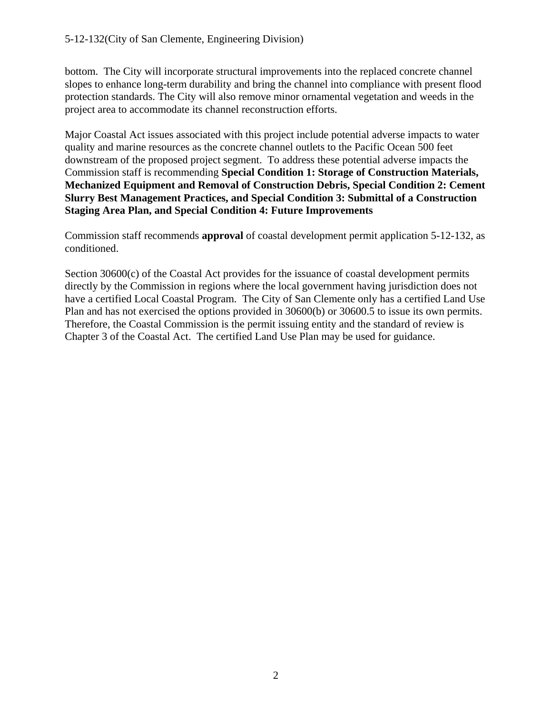bottom. The City will incorporate structural improvements into the replaced concrete channel slopes to enhance long-term durability and bring the channel into compliance with present flood protection standards. The City will also remove minor ornamental vegetation and weeds in the project area to accommodate its channel reconstruction efforts.

Major Coastal Act issues associated with this project include potential adverse impacts to water quality and marine resources as the concrete channel outlets to the Pacific Ocean 500 feet downstream of the proposed project segment. To address these potential adverse impacts the Commission staff is recommending **Special Condition 1: Storage of Construction Materials, Mechanized Equipment and Removal of Construction Debris, Special Condition 2: Cement Slurry Best Management Practices, and Special Condition 3: Submittal of a Construction Staging Area Plan, and Special Condition 4: Future Improvements**

Commission staff recommends **approval** of coastal development permit application 5-12-132, as conditioned.

Section 30600(c) of the Coastal Act provides for the issuance of coastal development permits directly by the Commission in regions where the local government having jurisdiction does not have a certified Local Coastal Program. The City of San Clemente only has a certified Land Use Plan and has not exercised the options provided in 30600(b) or 30600.5 to issue its own permits. Therefore, the Coastal Commission is the permit issuing entity and the standard of review is Chapter 3 of the Coastal Act. The certified Land Use Plan may be used for guidance.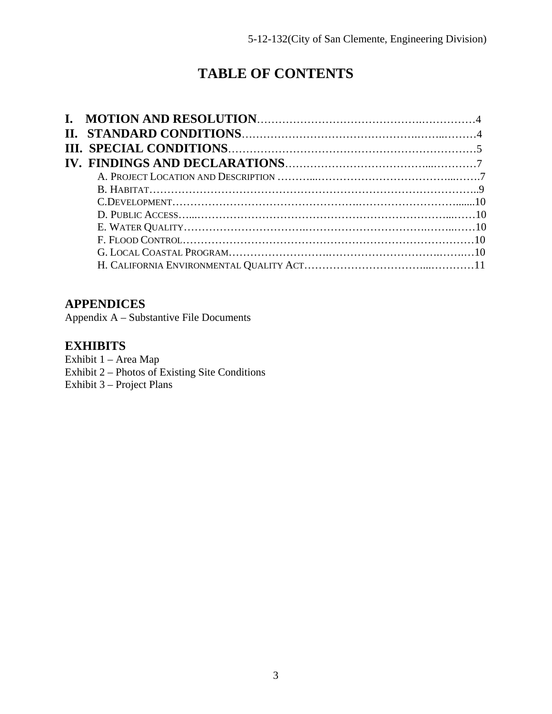# **TABLE OF CONTENTS**

# **APPENDICES**

Appendix A – Substantive File Documents

# **EXHIBITS**

- Exhibit 1 Area Map
- Exhibit 2 Photos of Existing Site Conditions
- Exhibit 3 Project Plans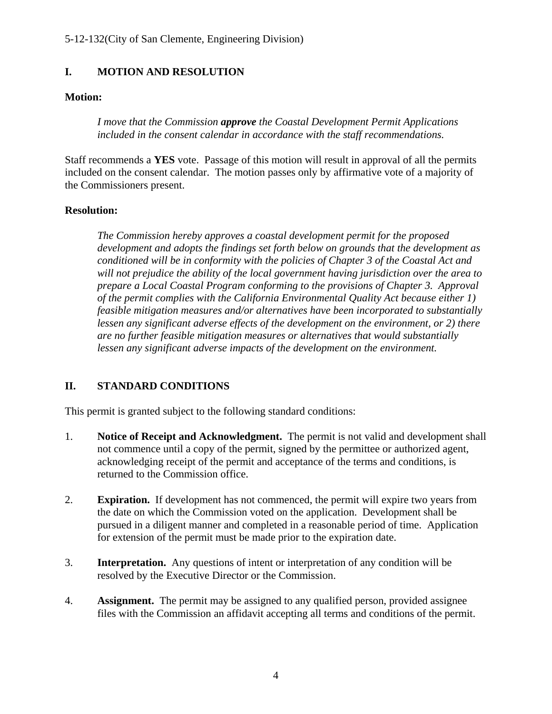#### **I. MOTION AND RESOLUTION**

#### **Motion:**

*I move that the Commission approve the Coastal Development Permit Applications included in the consent calendar in accordance with the staff recommendations.* 

Staff recommends a **YES** vote. Passage of this motion will result in approval of all the permits included on the consent calendar. The motion passes only by affirmative vote of a majority of the Commissioners present.

#### **Resolution:**

*The Commission hereby approves a coastal development permit for the proposed development and adopts the findings set forth below on grounds that the development as conditioned will be in conformity with the policies of Chapter 3 of the Coastal Act and will not prejudice the ability of the local government having jurisdiction over the area to prepare a Local Coastal Program conforming to the provisions of Chapter 3. Approval of the permit complies with the California Environmental Quality Act because either 1) feasible mitigation measures and/or alternatives have been incorporated to substantially lessen any significant adverse effects of the development on the environment, or 2) there are no further feasible mitigation measures or alternatives that would substantially lessen any significant adverse impacts of the development on the environment.* 

#### **II. STANDARD CONDITIONS**

This permit is granted subject to the following standard conditions:

- 1. **Notice of Receipt and Acknowledgment.** The permit is not valid and development shall not commence until a copy of the permit, signed by the permittee or authorized agent, acknowledging receipt of the permit and acceptance of the terms and conditions, is returned to the Commission office.
- 2. **Expiration.** If development has not commenced, the permit will expire two years from the date on which the Commission voted on the application. Development shall be pursued in a diligent manner and completed in a reasonable period of time. Application for extension of the permit must be made prior to the expiration date.
- 3. **Interpretation.** Any questions of intent or interpretation of any condition will be resolved by the Executive Director or the Commission.
- 4. **Assignment.** The permit may be assigned to any qualified person, provided assignee files with the Commission an affidavit accepting all terms and conditions of the permit.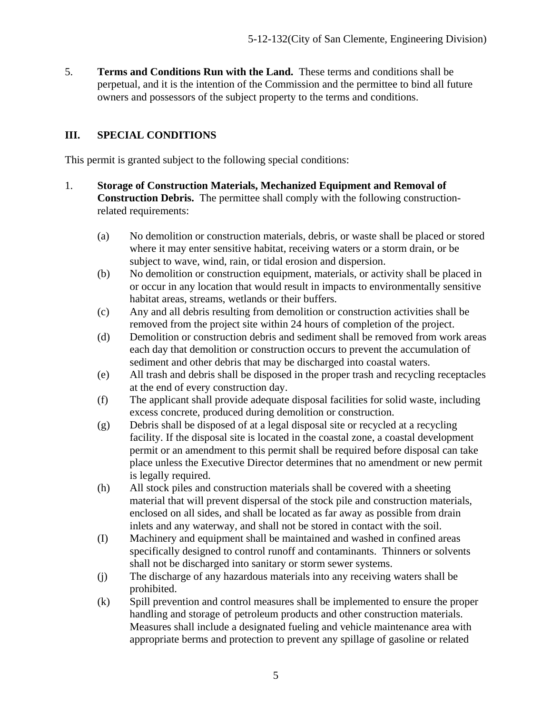5. **Terms and Conditions Run with the Land.** These terms and conditions shall be perpetual, and it is the intention of the Commission and the permittee to bind all future owners and possessors of the subject property to the terms and conditions.

#### **III. SPECIAL CONDITIONS**

This permit is granted subject to the following special conditions:

- 1. **Storage of Construction Materials, Mechanized Equipment and Removal of Construction Debris.** The permittee shall comply with the following constructionrelated requirements:
	- (a) No demolition or construction materials, debris, or waste shall be placed or stored where it may enter sensitive habitat, receiving waters or a storm drain, or be subject to wave, wind, rain, or tidal erosion and dispersion.
	- (b) No demolition or construction equipment, materials, or activity shall be placed in or occur in any location that would result in impacts to environmentally sensitive habitat areas, streams, wetlands or their buffers.
	- (c) Any and all debris resulting from demolition or construction activities shall be removed from the project site within 24 hours of completion of the project.
	- (d) Demolition or construction debris and sediment shall be removed from work areas each day that demolition or construction occurs to prevent the accumulation of sediment and other debris that may be discharged into coastal waters.
	- (e) All trash and debris shall be disposed in the proper trash and recycling receptacles at the end of every construction day.
	- (f) The applicant shall provide adequate disposal facilities for solid waste, including excess concrete, produced during demolition or construction.
	- (g) Debris shall be disposed of at a legal disposal site or recycled at a recycling facility. If the disposal site is located in the coastal zone, a coastal development permit or an amendment to this permit shall be required before disposal can take place unless the Executive Director determines that no amendment or new permit is legally required.
	- (h) All stock piles and construction materials shall be covered with a sheeting material that will prevent dispersal of the stock pile and construction materials, enclosed on all sides, and shall be located as far away as possible from drain inlets and any waterway, and shall not be stored in contact with the soil.
	- (I) Machinery and equipment shall be maintained and washed in confined areas specifically designed to control runoff and contaminants. Thinners or solvents shall not be discharged into sanitary or storm sewer systems.
	- (j) The discharge of any hazardous materials into any receiving waters shall be prohibited.
	- (k) Spill prevention and control measures shall be implemented to ensure the proper handling and storage of petroleum products and other construction materials. Measures shall include a designated fueling and vehicle maintenance area with appropriate berms and protection to prevent any spillage of gasoline or related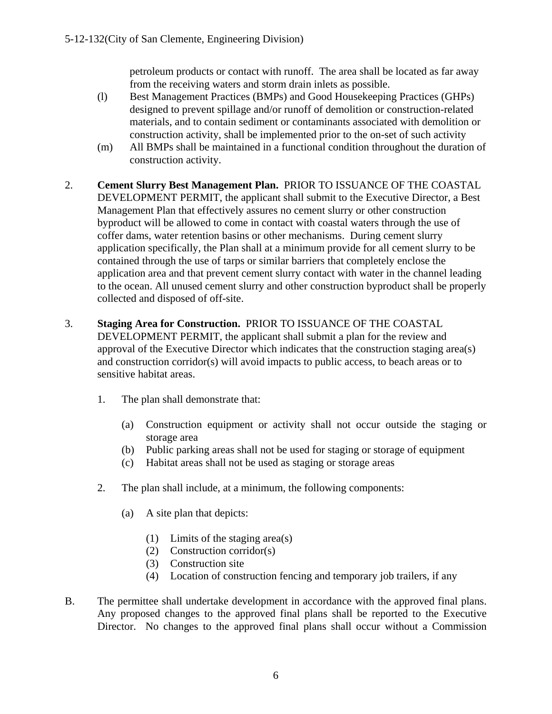petroleum products or contact with runoff. The area shall be located as far away from the receiving waters and storm drain inlets as possible.

- (l) Best Management Practices (BMPs) and Good Housekeeping Practices (GHPs) designed to prevent spillage and/or runoff of demolition or construction-related materials, and to contain sediment or contaminants associated with demolition or construction activity, shall be implemented prior to the on-set of such activity
- (m) All BMPs shall be maintained in a functional condition throughout the duration of construction activity.
- 2. **Cement Slurry Best Management Plan.** PRIOR TO ISSUANCE OF THE COASTAL DEVELOPMENT PERMIT, the applicant shall submit to the Executive Director, a Best Management Plan that effectively assures no cement slurry or other construction byproduct will be allowed to come in contact with coastal waters through the use of coffer dams, water retention basins or other mechanisms. During cement slurry application specifically, the Plan shall at a minimum provide for all cement slurry to be contained through the use of tarps or similar barriers that completely enclose the application area and that prevent cement slurry contact with water in the channel leading to the ocean. All unused cement slurry and other construction byproduct shall be properly collected and disposed of off-site.
- 3. **Staging Area for Construction.** PRIOR TO ISSUANCE OF THE COASTAL DEVELOPMENT PERMIT, the applicant shall submit a plan for the review and approval of the Executive Director which indicates that the construction staging area(s) and construction corridor(s) will avoid impacts to public access, to beach areas or to sensitive habitat areas.
	- 1. The plan shall demonstrate that:
		- (a) Construction equipment or activity shall not occur outside the staging or storage area
		- (b) Public parking areas shall not be used for staging or storage of equipment
		- (c) Habitat areas shall not be used as staging or storage areas
	- 2. The plan shall include, at a minimum, the following components:
		- (a) A site plan that depicts:
			- (1) Limits of the staging area(s)
			- (2) Construction corridor(s)
			- (3) Construction site
			- (4) Location of construction fencing and temporary job trailers, if any
- B. The permittee shall undertake development in accordance with the approved final plans. Any proposed changes to the approved final plans shall be reported to the Executive Director. No changes to the approved final plans shall occur without a Commission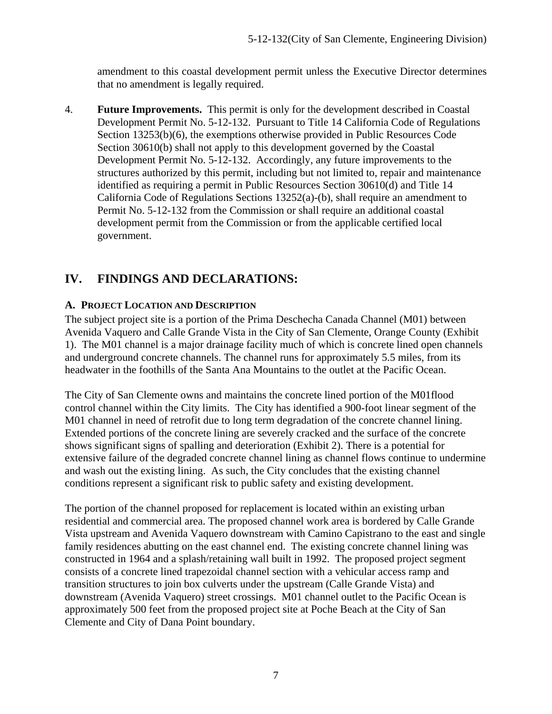amendment to this coastal development permit unless the Executive Director determines that no amendment is legally required.

4. **Future Improvements.** This permit is only for the development described in Coastal Development Permit No. 5-12-132. Pursuant to Title 14 California Code of Regulations Section 13253(b)(6), the exemptions otherwise provided in Public Resources Code Section 30610(b) shall not apply to this development governed by the Coastal Development Permit No. 5-12-132. Accordingly, any future improvements to the structures authorized by this permit, including but not limited to, repair and maintenance identified as requiring a permit in Public Resources Section 30610(d) and Title 14 California Code of Regulations Sections 13252(a)-(b), shall require an amendment to Permit No. 5-12-132 from the Commission or shall require an additional coastal development permit from the Commission or from the applicable certified local government.

# **IV. FINDINGS AND DECLARATIONS:**

#### **A. PROJECT LOCATION AND DESCRIPTION**

The subject project site is a portion of the Prima Deschecha Canada Channel (M01) between Avenida Vaquero and Calle Grande Vista in the City of San Clemente, Orange County (Exhibit 1). The M01 channel is a major drainage facility much of which is concrete lined open channels and underground concrete channels. The channel runs for approximately 5.5 miles, from its headwater in the foothills of the Santa Ana Mountains to the outlet at the Pacific Ocean.

The City of San Clemente owns and maintains the concrete lined portion of the M01flood control channel within the City limits. The City has identified a 900-foot linear segment of the M01 channel in need of retrofit due to long term degradation of the concrete channel lining. Extended portions of the concrete lining are severely cracked and the surface of the concrete shows significant signs of spalling and deterioration (Exhibit 2). There is a potential for extensive failure of the degraded concrete channel lining as channel flows continue to undermine and wash out the existing lining. As such, the City concludes that the existing channel conditions represent a significant risk to public safety and existing development.

The portion of the channel proposed for replacement is located within an existing urban residential and commercial area. The proposed channel work area is bordered by Calle Grande Vista upstream and Avenida Vaquero downstream with Camino Capistrano to the east and single family residences abutting on the east channel end. The existing concrete channel lining was constructed in 1964 and a splash/retaining wall built in 1992. The proposed project segment consists of a concrete lined trapezoidal channel section with a vehicular access ramp and transition structures to join box culverts under the upstream (Calle Grande Vista) and downstream (Avenida Vaquero) street crossings. M01 channel outlet to the Pacific Ocean is approximately 500 feet from the proposed project site at Poche Beach at the City of San Clemente and City of Dana Point boundary.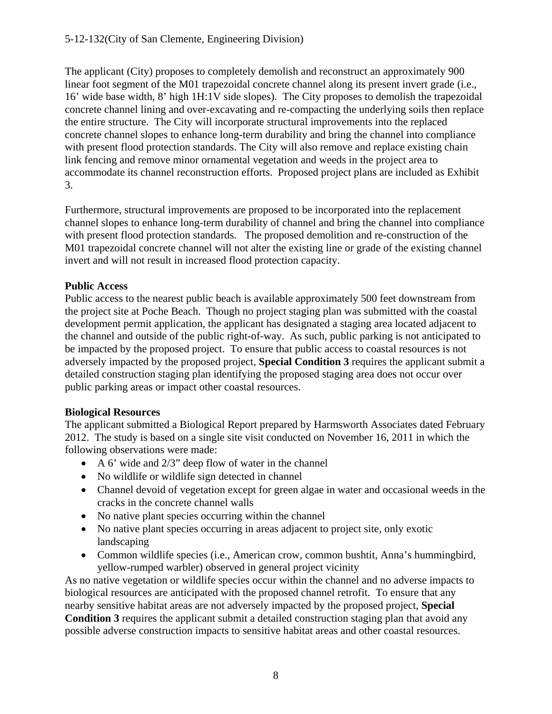#### 5-12-132(City of San Clemente, Engineering Division)

The applicant (City) proposes to completely demolish and reconstruct an approximately 900 linear foot segment of the M01 trapezoidal concrete channel along its present invert grade (i.e., 16' wide base width, 8' high 1H:1V side slopes). The City proposes to demolish the trapezoidal concrete channel lining and over-excavating and re-compacting the underlying soils then replace the entire structure. The City will incorporate structural improvements into the replaced concrete channel slopes to enhance long-term durability and bring the channel into compliance with present flood protection standards. The City will also remove and replace existing chain link fencing and remove minor ornamental vegetation and weeds in the project area to accommodate its channel reconstruction efforts. Proposed project plans are included as Exhibit 3.

Furthermore, structural improvements are proposed to be incorporated into the replacement channel slopes to enhance long-term durability of channel and bring the channel into compliance with present flood protection standards. The proposed demolition and re-construction of the M01 trapezoidal concrete channel will not alter the existing line or grade of the existing channel invert and will not result in increased flood protection capacity.

#### **Public Access**

Public access to the nearest public beach is available approximately 500 feet downstream from the project site at Poche Beach. Though no project staging plan was submitted with the coastal development permit application, the applicant has designated a staging area located adjacent to the channel and outside of the public right-of-way. As such, public parking is not anticipated to be impacted by the proposed project. To ensure that public access to coastal resources is not adversely impacted by the proposed project, **Special Condition 3** requires the applicant submit a detailed construction staging plan identifying the proposed staging area does not occur over public parking areas or impact other coastal resources.

#### **Biological Resources**

The applicant submitted a Biological Report prepared by Harmsworth Associates dated February 2012. The study is based on a single site visit conducted on November 16, 2011 in which the following observations were made:

- $\bullet$  A 6' wide and 2/3" deep flow of water in the channel
- No wildlife or wildlife sign detected in channel
- Channel devoid of vegetation except for green algae in water and occasional weeds in the cracks in the concrete channel walls
- No native plant species occurring within the channel
- No native plant species occurring in areas adjacent to project site, only exotic landscaping
- Common wildlife species (i.e., American crow, common bushtit, Anna's hummingbird, yellow-rumped warbler) observed in general project vicinity

As no native vegetation or wildlife species occur within the channel and no adverse impacts to biological resources are anticipated with the proposed channel retrofit. To ensure that any nearby sensitive habitat areas are not adversely impacted by the proposed project, **Special Condition 3** requires the applicant submit a detailed construction staging plan that avoid any possible adverse construction impacts to sensitive habitat areas and other coastal resources.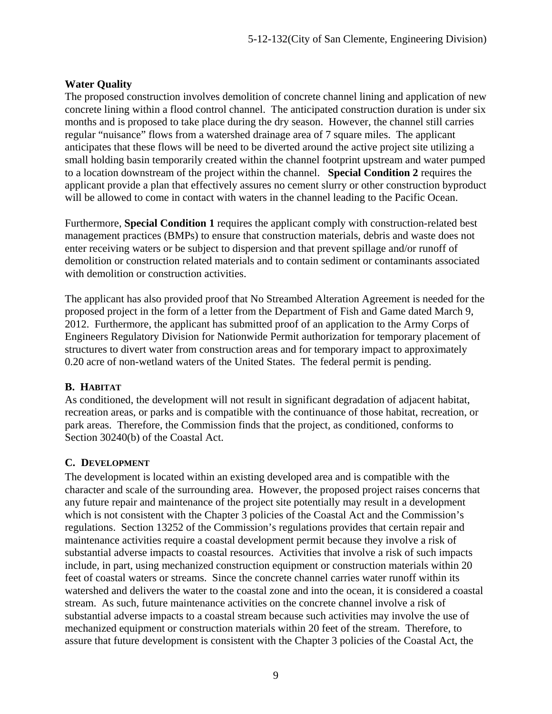#### **Water Quality**

The proposed construction involves demolition of concrete channel lining and application of new concrete lining within a flood control channel. The anticipated construction duration is under six months and is proposed to take place during the dry season. However, the channel still carries regular "nuisance" flows from a watershed drainage area of 7 square miles. The applicant anticipates that these flows will be need to be diverted around the active project site utilizing a small holding basin temporarily created within the channel footprint upstream and water pumped to a location downstream of the project within the channel. **Special Condition 2** requires the applicant provide a plan that effectively assures no cement slurry or other construction byproduct will be allowed to come in contact with waters in the channel leading to the Pacific Ocean.

Furthermore, **Special Condition 1** requires the applicant comply with construction-related best management practices (BMPs) to ensure that construction materials, debris and waste does not enter receiving waters or be subject to dispersion and that prevent spillage and/or runoff of demolition or construction related materials and to contain sediment or contaminants associated with demolition or construction activities.

The applicant has also provided proof that No Streambed Alteration Agreement is needed for the proposed project in the form of a letter from the Department of Fish and Game dated March 9, 2012. Furthermore, the applicant has submitted proof of an application to the Army Corps of Engineers Regulatory Division for Nationwide Permit authorization for temporary placement of structures to divert water from construction areas and for temporary impact to approximately 0.20 acre of non-wetland waters of the United States. The federal permit is pending.

#### **B. HABITAT**

As conditioned, the development will not result in significant degradation of adjacent habitat, recreation areas, or parks and is compatible with the continuance of those habitat, recreation, or park areas. Therefore, the Commission finds that the project, as conditioned, conforms to Section 30240(b) of the Coastal Act.

#### **C. DEVELOPMENT**

The development is located within an existing developed area and is compatible with the character and scale of the surrounding area. However, the proposed project raises concerns that any future repair and maintenance of the project site potentially may result in a development which is not consistent with the Chapter 3 policies of the Coastal Act and the Commission's regulations. Section 13252 of the Commission's regulations provides that certain repair and maintenance activities require a coastal development permit because they involve a risk of substantial adverse impacts to coastal resources. Activities that involve a risk of such impacts include, in part, using mechanized construction equipment or construction materials within 20 feet of coastal waters or streams. Since the concrete channel carries water runoff within its watershed and delivers the water to the coastal zone and into the ocean, it is considered a coastal stream. As such, future maintenance activities on the concrete channel involve a risk of substantial adverse impacts to a coastal stream because such activities may involve the use of mechanized equipment or construction materials within 20 feet of the stream. Therefore, to assure that future development is consistent with the Chapter 3 policies of the Coastal Act, the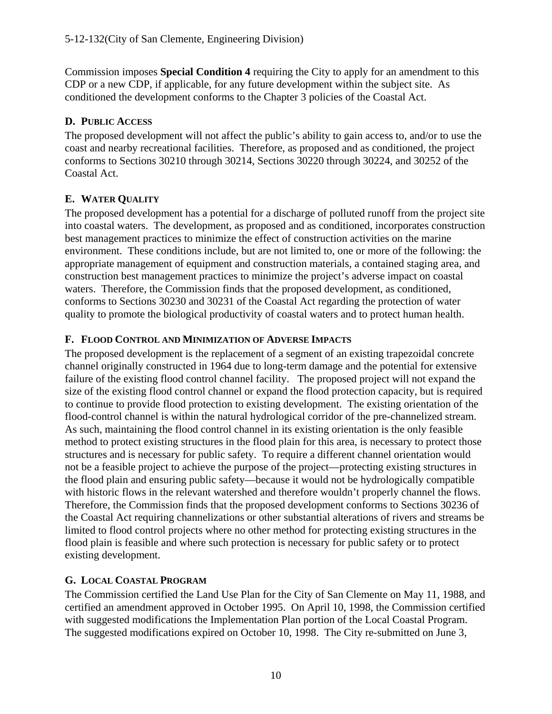Commission imposes **Special Condition 4** requiring the City to apply for an amendment to this CDP or a new CDP, if applicable, for any future development within the subject site. As conditioned the development conforms to the Chapter 3 policies of the Coastal Act.

# **D. PUBLIC ACCESS**

The proposed development will not affect the public's ability to gain access to, and/or to use the coast and nearby recreational facilities. Therefore, as proposed and as conditioned, the project conforms to Sections 30210 through 30214, Sections 30220 through 30224, and 30252 of the Coastal Act.

# **E. WATER QUALITY**

The proposed development has a potential for a discharge of polluted runoff from the project site into coastal waters. The development, as proposed and as conditioned, incorporates construction best management practices to minimize the effect of construction activities on the marine environment. These conditions include, but are not limited to, one or more of the following: the appropriate management of equipment and construction materials, a contained staging area, and construction best management practices to minimize the project's adverse impact on coastal waters. Therefore, the Commission finds that the proposed development, as conditioned, conforms to Sections 30230 and 30231 of the Coastal Act regarding the protection of water quality to promote the biological productivity of coastal waters and to protect human health.

# **F. FLOOD CONTROL AND MINIMIZATION OF ADVERSE IMPACTS**

The proposed development is the replacement of a segment of an existing trapezoidal concrete channel originally constructed in 1964 due to long-term damage and the potential for extensive failure of the existing flood control channel facility. The proposed project will not expand the size of the existing flood control channel or expand the flood protection capacity, but is required to continue to provide flood protection to existing development. The existing orientation of the flood-control channel is within the natural hydrological corridor of the pre-channelized stream. As such, maintaining the flood control channel in its existing orientation is the only feasible method to protect existing structures in the flood plain for this area, is necessary to protect those structures and is necessary for public safety. To require a different channel orientation would not be a feasible project to achieve the purpose of the project—protecting existing structures in the flood plain and ensuring public safety—because it would not be hydrologically compatible with historic flows in the relevant watershed and therefore wouldn't properly channel the flows. Therefore, the Commission finds that the proposed development conforms to Sections 30236 of the Coastal Act requiring channelizations or other substantial alterations of rivers and streams be limited to flood control projects where no other method for protecting existing structures in the flood plain is feasible and where such protection is necessary for public safety or to protect existing development.

# **G. LOCAL COASTAL PROGRAM**

The Commission certified the Land Use Plan for the City of San Clemente on May 11, 1988, and certified an amendment approved in October 1995. On April 10, 1998, the Commission certified with suggested modifications the Implementation Plan portion of the Local Coastal Program. The suggested modifications expired on October 10, 1998. The City re-submitted on June 3,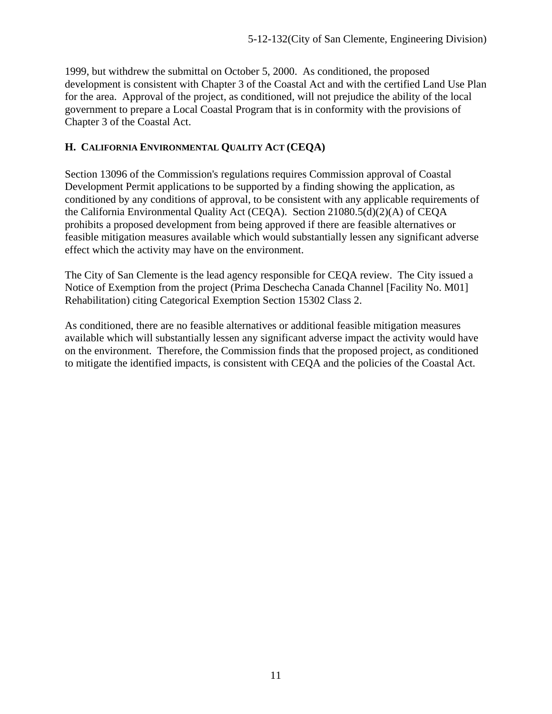1999, but withdrew the submittal on October 5, 2000. As conditioned, the proposed development is consistent with Chapter 3 of the Coastal Act and with the certified Land Use Plan for the area. Approval of the project, as conditioned, will not prejudice the ability of the local government to prepare a Local Coastal Program that is in conformity with the provisions of Chapter 3 of the Coastal Act.

#### **H. CALIFORNIA ENVIRONMENTAL QUALITY ACT (CEQA)**

Section 13096 of the Commission's regulations requires Commission approval of Coastal Development Permit applications to be supported by a finding showing the application, as conditioned by any conditions of approval, to be consistent with any applicable requirements of the California Environmental Quality Act (CEQA). Section 21080.5(d)(2)(A) of CEQA prohibits a proposed development from being approved if there are feasible alternatives or feasible mitigation measures available which would substantially lessen any significant adverse effect which the activity may have on the environment.

The City of San Clemente is the lead agency responsible for CEQA review. The City issued a Notice of Exemption from the project (Prima Deschecha Canada Channel [Facility No. M01] Rehabilitation) citing Categorical Exemption Section 15302 Class 2.

As conditioned, there are no feasible alternatives or additional feasible mitigation measures available which will substantially lessen any significant adverse impact the activity would have on the environment. Therefore, the Commission finds that the proposed project, as conditioned to mitigate the identified impacts, is consistent with CEQA and the policies of the Coastal Act.